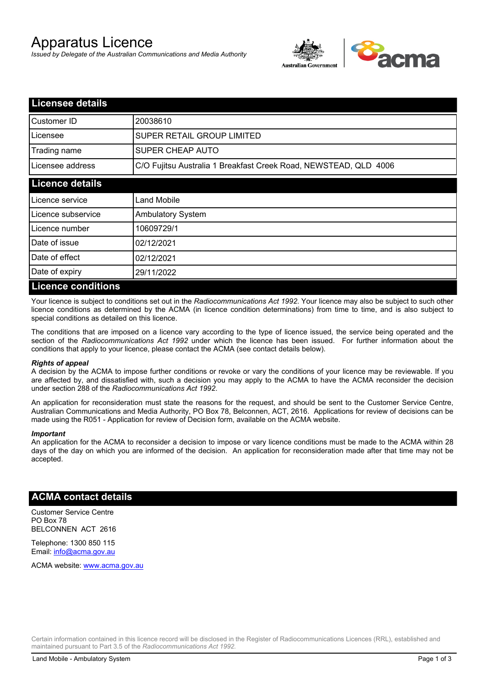# Apparatus Licence

*Issued by Delegate of the Australian Communications and Media Authority*



| <b>Licensee details</b>   |                                                                  |
|---------------------------|------------------------------------------------------------------|
| Customer ID               | 20038610                                                         |
| Licensee                  | <b>SUPER RETAIL GROUP LIMITED</b>                                |
| Trading name              | SUPER CHEAP AUTO                                                 |
| Licensee address          | C/O Fujitsu Australia 1 Breakfast Creek Road, NEWSTEAD, QLD 4006 |
| <b>Licence details</b>    |                                                                  |
| Licence service           | Land Mobile                                                      |
| Licence subservice        | <b>Ambulatory System</b>                                         |
| Licence number            | 10609729/1                                                       |
| Date of issue             | 02/12/2021                                                       |
| Date of effect            | 02/12/2021                                                       |
| Date of expiry            | 29/11/2022                                                       |
| <b>Licence conditions</b> |                                                                  |

Your licence is subject to conditions set out in the *Radiocommunications Act 1992*. Your licence may also be subject to such other licence conditions as determined by the ACMA (in licence condition determinations) from time to time, and is also subject to special conditions as detailed on this licence.

The conditions that are imposed on a licence vary according to the type of licence issued, the service being operated and the section of the *Radiocommunications Act 1992* under which the licence has been issued. For further information about the conditions that apply to your licence, please contact the ACMA (see contact details below).

### *Rights of appeal*

A decision by the ACMA to impose further conditions or revoke or vary the conditions of your licence may be reviewable. If you are affected by, and dissatisfied with, such a decision you may apply to the ACMA to have the ACMA reconsider the decision under section 288 of the *Radiocommunications Act 1992*.

An application for reconsideration must state the reasons for the request, and should be sent to the Customer Service Centre, Australian Communications and Media Authority, PO Box 78, Belconnen, ACT, 2616. Applications for review of decisions can be made using the R051 - Application for review of Decision form, available on the ACMA website.

#### *Important*

An application for the ACMA to reconsider a decision to impose or vary licence conditions must be made to the ACMA within 28 days of the day on which you are informed of the decision. An application for reconsideration made after that time may not be accepted.

### **ACMA contact details**

Customer Service Centre PO Box 78 BELCONNEN ACT 2616

Telephone: 1300 850 115 Email: info@acma.gov.au

ACMA website: www.acma.gov.au

Certain information contained in this licence record will be disclosed in the Register of Radiocommunications Licences (RRL), established and maintained pursuant to Part 3.5 of the *Radiocommunications Act 1992.*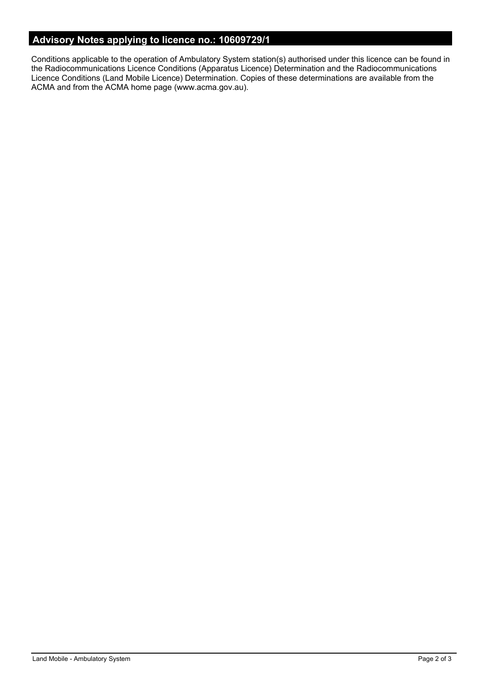# **Advisory Notes applying to licence no.: 10609729/1**

Conditions applicable to the operation of Ambulatory System station(s) authorised under this licence can be found in the Radiocommunications Licence Conditions (Apparatus Licence) Determination and the Radiocommunications Licence Conditions (Land Mobile Licence) Determination. Copies of these determinations are available from the ACMA and from the ACMA home page (www.acma.gov.au).